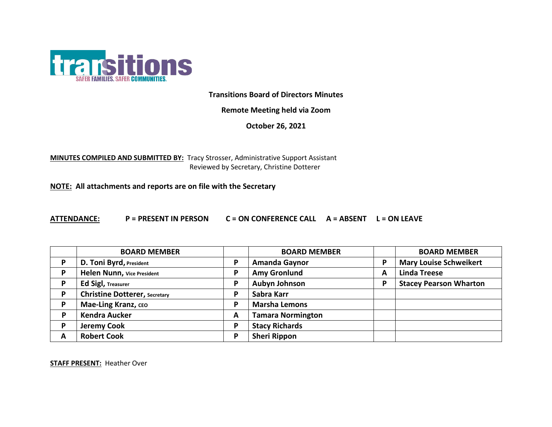

**Transitions Board of Directors Minutes**

**Remote Meeting held via Zoom**

**October 26, 2021**

**MINUTES COMPILED AND SUBMITTED BY:** Tracy Strosser, Administrative Support Assistant Reviewed by Secretary, Christine Dotterer

**NOTE: All attachments and reports are on file with the Secretary**

**ATTENDANCE: P = PRESENT IN PERSON C = ON CONFERENCE CALL A = ABSENT L = ON LEAVE**

|   | <b>BOARD MEMBER</b>                  |   | <b>BOARD MEMBER</b>      |   | <b>BOARD MEMBER</b>           |
|---|--------------------------------------|---|--------------------------|---|-------------------------------|
| P | D. Toni Byrd, President              | P | <b>Amanda Gaynor</b>     | P | <b>Mary Louise Schweikert</b> |
| D | Helen Nunn, Vice President           | P | <b>Amy Gronlund</b>      | A | <b>Linda Treese</b>           |
| D | <b>Ed Sigl, Treasurer</b>            | P | <b>Aubyn Johnson</b>     | P | <b>Stacey Pearson Wharton</b> |
| D | <b>Christine Dotterer, Secretary</b> | P | Sabra Karr               |   |                               |
| D | Mae-Ling Kranz, CEO                  | P | <b>Marsha Lemons</b>     |   |                               |
|   | <b>Kendra Aucker</b>                 | A | <b>Tamara Normington</b> |   |                               |
| D | <b>Jeremy Cook</b>                   | P | <b>Stacy Richards</b>    |   |                               |
| А | <b>Robert Cook</b>                   | P | <b>Sheri Rippon</b>      |   |                               |

**STAFF PRESENT:** Heather Over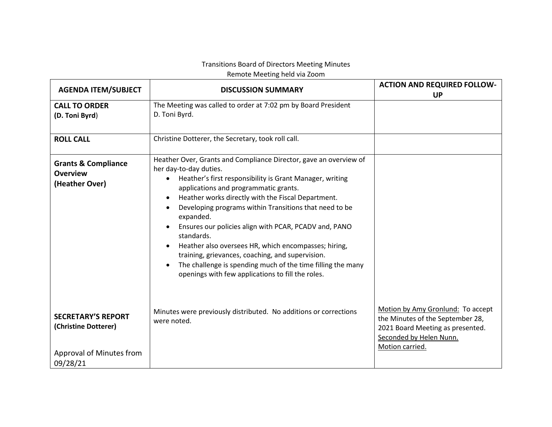## Transitions Board of Directors Meeting Minutes

Remote Meeting held via Zoom

| <b>AGENDA ITEM/SUBJECT</b>                                                                | <b>DISCUSSION SUMMARY</b>                                                                                                                                                                                                                                                                                                                                                                                                                                                                                                                                                                                                                                                                | <b>ACTION AND REQUIRED FOLLOW-</b><br><b>UP</b>                                                                                                         |
|-------------------------------------------------------------------------------------------|------------------------------------------------------------------------------------------------------------------------------------------------------------------------------------------------------------------------------------------------------------------------------------------------------------------------------------------------------------------------------------------------------------------------------------------------------------------------------------------------------------------------------------------------------------------------------------------------------------------------------------------------------------------------------------------|---------------------------------------------------------------------------------------------------------------------------------------------------------|
| <b>CALL TO ORDER</b><br>(D. Toni Byrd)                                                    | The Meeting was called to order at 7:02 pm by Board President<br>D. Toni Byrd.                                                                                                                                                                                                                                                                                                                                                                                                                                                                                                                                                                                                           |                                                                                                                                                         |
| <b>ROLL CALL</b>                                                                          | Christine Dotterer, the Secretary, took roll call.                                                                                                                                                                                                                                                                                                                                                                                                                                                                                                                                                                                                                                       |                                                                                                                                                         |
| <b>Grants &amp; Compliance</b><br><b>Overview</b><br>(Heather Over)                       | Heather Over, Grants and Compliance Director, gave an overview of<br>her day-to-day duties.<br>Heather's first responsibility is Grant Manager, writing<br>$\bullet$<br>applications and programmatic grants.<br>Heather works directly with the Fiscal Department.<br>$\bullet$<br>Developing programs within Transitions that need to be<br>$\bullet$<br>expanded.<br>Ensures our policies align with PCAR, PCADV and, PANO<br>standards.<br>Heather also oversees HR, which encompasses; hiring,<br>training, grievances, coaching, and supervision.<br>The challenge is spending much of the time filling the many<br>$\bullet$<br>openings with few applications to fill the roles. |                                                                                                                                                         |
| <b>SECRETARY'S REPORT</b><br>(Christine Dotterer)<br>Approval of Minutes from<br>09/28/21 | Minutes were previously distributed. No additions or corrections<br>were noted.                                                                                                                                                                                                                                                                                                                                                                                                                                                                                                                                                                                                          | Motion by Amy Gronlund: To accept<br>the Minutes of the September 28,<br>2021 Board Meeting as presented.<br>Seconded by Helen Nunn.<br>Motion carried. |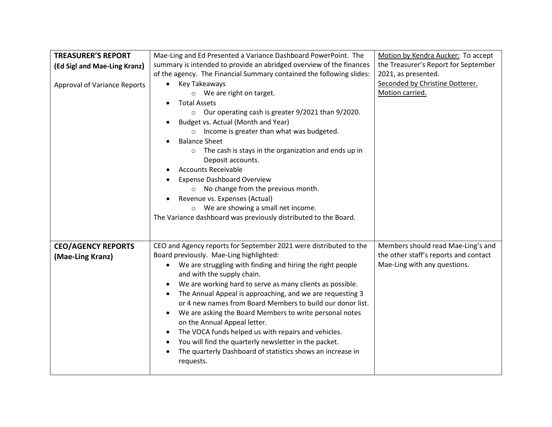| <b>TREASURER'S REPORT</b>           | Mae-Ling and Ed Presented a Variance Dashboard PowerPoint. The          | Motion by Kendra Aucker: To accept    |
|-------------------------------------|-------------------------------------------------------------------------|---------------------------------------|
| (Ed Sigl and Mae-Ling Kranz)        | summary is intended to provide an abridged overview of the finances     | the Treasurer's Report for September  |
|                                     | of the agency. The Financial Summary contained the following slides:    | 2021, as presented.                   |
| <b>Approval of Variance Reports</b> | Key Takeaways<br>$\bullet$                                              | Seconded by Christine Dotterer.       |
|                                     | We are right on target.<br>$\circ$                                      | Motion carried.                       |
|                                     | <b>Total Assets</b><br>$\bullet$                                        |                                       |
|                                     | Our operating cash is greater 9/2021 than 9/2020.<br>$\circ$            |                                       |
|                                     | Budget vs. Actual (Month and Year)<br>$\bullet$                         |                                       |
|                                     | o Income is greater than what was budgeted.                             |                                       |
|                                     | <b>Balance Sheet</b>                                                    |                                       |
|                                     | The cash is stays in the organization and ends up in<br>$\circ$         |                                       |
|                                     | Deposit accounts.                                                       |                                       |
|                                     | <b>Accounts Receivable</b>                                              |                                       |
|                                     | <b>Expense Dashboard Overview</b>                                       |                                       |
|                                     | No change from the previous month.<br>$\circ$                           |                                       |
|                                     | Revenue vs. Expenses (Actual)                                           |                                       |
|                                     | We are showing a small net income.<br>$\circ$                           |                                       |
|                                     | The Variance dashboard was previously distributed to the Board.         |                                       |
|                                     |                                                                         |                                       |
| <b>CEO/AGENCY REPORTS</b>           | CEO and Agency reports for September 2021 were distributed to the       | Members should read Mae-Ling's and    |
| (Mae-Ling Kranz)                    | Board previously. Mae-Ling highlighted:                                 | the other staff's reports and contact |
|                                     | We are struggling with finding and hiring the right people<br>$\bullet$ | Mae-Ling with any questions.          |
|                                     | and with the supply chain.                                              |                                       |
|                                     | We are working hard to serve as many clients as possible.<br>$\bullet$  |                                       |
|                                     | The Annual Appeal is approaching, and we are requesting 3<br>$\bullet$  |                                       |
|                                     | or 4 new names from Board Members to build our donor list.              |                                       |
|                                     | We are asking the Board Members to write personal notes<br>$\bullet$    |                                       |
|                                     | on the Annual Appeal letter.                                            |                                       |
|                                     | The VOCA funds helped us with repairs and vehicles.<br>$\bullet$        |                                       |
|                                     | You will find the quarterly newsletter in the packet.<br>$\bullet$      |                                       |
|                                     | The quarterly Dashboard of statistics shows an increase in<br>$\bullet$ |                                       |
|                                     | requests.                                                               |                                       |
|                                     |                                                                         |                                       |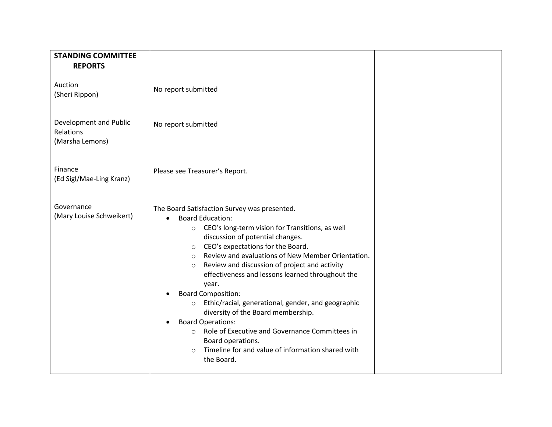| <b>STANDING COMMITTEE</b>                              |                                                                                                                                                                                                                                                                                                                                                                                                                                                                                                                                                                                                                                                                                                                                                                                           |  |
|--------------------------------------------------------|-------------------------------------------------------------------------------------------------------------------------------------------------------------------------------------------------------------------------------------------------------------------------------------------------------------------------------------------------------------------------------------------------------------------------------------------------------------------------------------------------------------------------------------------------------------------------------------------------------------------------------------------------------------------------------------------------------------------------------------------------------------------------------------------|--|
| <b>REPORTS</b>                                         |                                                                                                                                                                                                                                                                                                                                                                                                                                                                                                                                                                                                                                                                                                                                                                                           |  |
| Auction<br>(Sheri Rippon)                              | No report submitted                                                                                                                                                                                                                                                                                                                                                                                                                                                                                                                                                                                                                                                                                                                                                                       |  |
| Development and Public<br>Relations<br>(Marsha Lemons) | No report submitted                                                                                                                                                                                                                                                                                                                                                                                                                                                                                                                                                                                                                                                                                                                                                                       |  |
| Finance<br>(Ed Sigl/Mae-Ling Kranz)                    | Please see Treasurer's Report.                                                                                                                                                                                                                                                                                                                                                                                                                                                                                                                                                                                                                                                                                                                                                            |  |
| Governance<br>(Mary Louise Schweikert)                 | The Board Satisfaction Survey was presented.<br><b>Board Education:</b><br>$\bullet$<br>CEO's long-term vision for Transitions, as well<br>$\circ$<br>discussion of potential changes.<br>CEO's expectations for the Board.<br>$\circ$<br>Review and evaluations of New Member Orientation.<br>$\circ$<br>Review and discussion of project and activity<br>$\circ$<br>effectiveness and lessons learned throughout the<br>year.<br><b>Board Composition:</b><br>$\bullet$<br>Ethic/racial, generational, gender, and geographic<br>$\circ$<br>diversity of the Board membership.<br><b>Board Operations:</b><br>$\bullet$<br>Role of Executive and Governance Committees in<br>$\circ$<br>Board operations.<br>Timeline for and value of information shared with<br>$\circ$<br>the Board. |  |